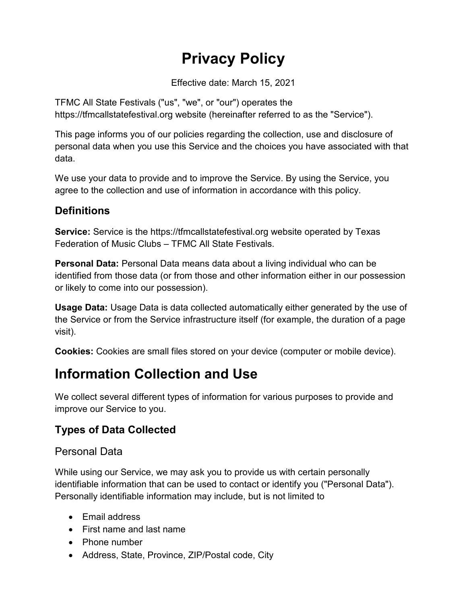# **Privacy Policy**

Effective date: March 15, 2021

TFMC All State Festivals ("us", "we", or "our") operates the https://tfmcallstatefestival.org website (hereinafter referred to as the "Service").

This page informs you of our policies regarding the collection, use and disclosure of personal data when you use this Service and the choices you have associated with that data.

We use your data to provide and to improve the Service. By using the Service, you agree to the collection and use of information in accordance with this policy.

### **Definitions**

**Service:** Service is the https://tfmcallstatefestival.org website operated by Texas Federation of Music Clubs – TFMC All State Festivals.

**Personal Data:** Personal Data means data about a living individual who can be identified from those data (or from those and other information either in our possession or likely to come into our possession).

**Usage Data:** Usage Data is data collected automatically either generated by the use of the Service or from the Service infrastructure itself (for example, the duration of a page visit).

**Cookies:** Cookies are small files stored on your device (computer or mobile device).

## **Information Collection and Use**

We collect several different types of information for various purposes to provide and improve our Service to you.

### **Types of Data Collected**

### Personal Data

While using our Service, we may ask you to provide us with certain personally identifiable information that can be used to contact or identify you ("Personal Data"). Personally identifiable information may include, but is not limited to

- Email address
- First name and last name
- Phone number
- Address, State, Province, ZIP/Postal code, City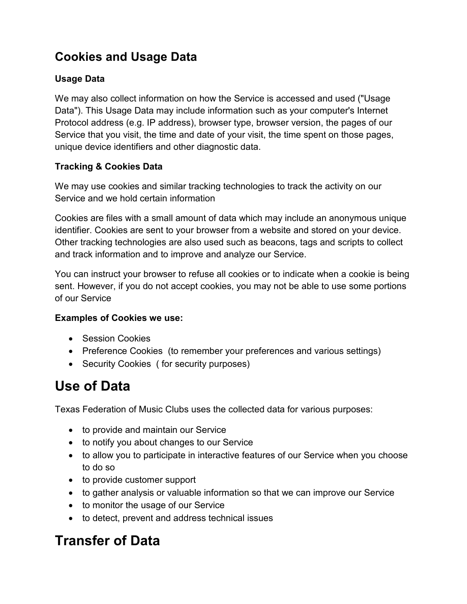### **Cookies and Usage Data**

### **Usage Data**

We may also collect information on how the Service is accessed and used ("Usage Data"). This Usage Data may include information such as your computer's Internet Protocol address (e.g. IP address), browser type, browser version, the pages of our Service that you visit, the time and date of your visit, the time spent on those pages, unique device identifiers and other diagnostic data.

### **Tracking & Cookies Data**

We may use cookies and similar tracking technologies to track the activity on our Service and we hold certain information

Cookies are files with a small amount of data which may include an anonymous unique identifier. Cookies are sent to your browser from a website and stored on your device. Other tracking technologies are also used such as beacons, tags and scripts to collect and track information and to improve and analyze our Service.

You can instruct your browser to refuse all cookies or to indicate when a cookie is being sent. However, if you do not accept cookies, you may not be able to use some portions of our Service

### **Examples of Cookies we use:**

- Session Cookies
- Preference Cookies (to remember your preferences and various settings)
- Security Cookies ( for security purposes)

## **Use of Data**

Texas Federation of Music Clubs uses the collected data for various purposes:

- to provide and maintain our Service
- to notify you about changes to our Service
- to allow you to participate in interactive features of our Service when you choose to do so
- to provide customer support
- to gather analysis or valuable information so that we can improve our Service
- to monitor the usage of our Service
- to detect, prevent and address technical issues

## **Transfer of Data**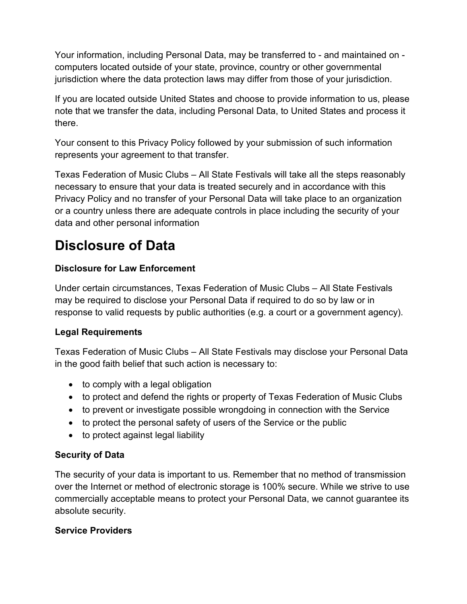Your information, including Personal Data, may be transferred to - and maintained on computers located outside of your state, province, country or other governmental jurisdiction where the data protection laws may differ from those of your jurisdiction.

If you are located outside United States and choose to provide information to us, please note that we transfer the data, including Personal Data, to United States and process it there.

Your consent to this Privacy Policy followed by your submission of such information represents your agreement to that transfer.

Texas Federation of Music Clubs – All State Festivals will take all the steps reasonably necessary to ensure that your data is treated securely and in accordance with this Privacy Policy and no transfer of your Personal Data will take place to an organization or a country unless there are adequate controls in place including the security of your data and other personal information

## **Disclosure of Data**

### **Disclosure for Law Enforcement**

Under certain circumstances, Texas Federation of Music Clubs – All State Festivals may be required to disclose your Personal Data if required to do so by law or in response to valid requests by public authorities (e.g. a court or a government agency).

### **Legal Requirements**

Texas Federation of Music Clubs – All State Festivals may disclose your Personal Data in the good faith belief that such action is necessary to:

- $\bullet$  to comply with a legal obligation
- to protect and defend the rights or property of Texas Federation of Music Clubs
- to prevent or investigate possible wrongdoing in connection with the Service
- to protect the personal safety of users of the Service or the public
- to protect against legal liability

### **Security of Data**

The security of your data is important to us. Remember that no method of transmission over the Internet or method of electronic storage is 100% secure. While we strive to use commercially acceptable means to protect your Personal Data, we cannot guarantee its absolute security.

### **Service Providers**